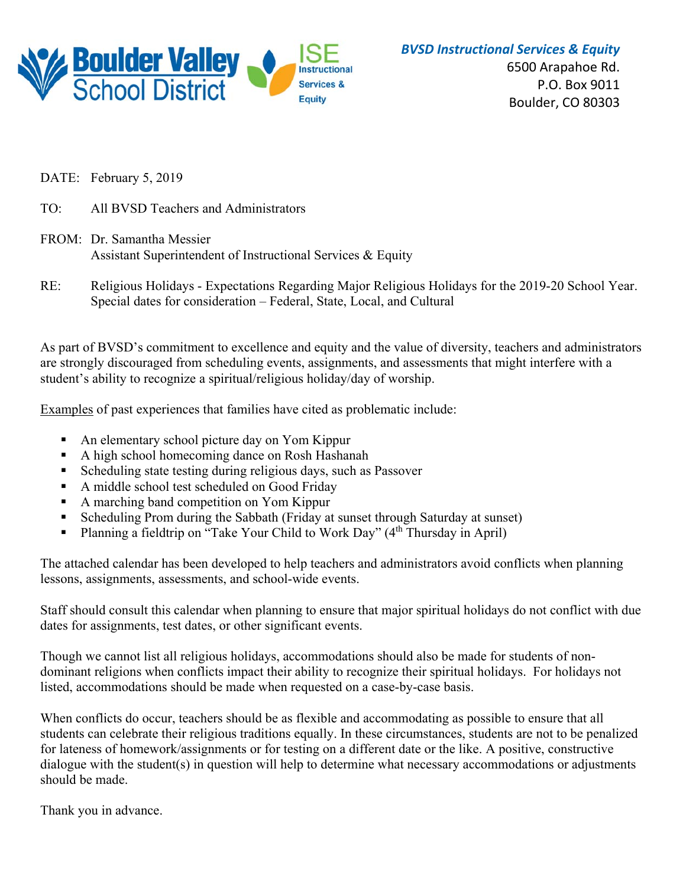

*BVSD Instructional Services & Equity*

6500 Arapahoe Rd. P.O. Box 9011 Boulder, CO 80303

DATE: February 5, 2019

- TO: All BVSD Teachers and Administrators
- FROM: Dr. Samantha Messier Assistant Superintendent of Instructional Services & Equity
- RE: Religious Holidays Expectations Regarding Major Religious Holidays for the 2019-20 School Year. Special dates for consideration – Federal, State, Local, and Cultural

As part of BVSD's commitment to excellence and equity and the value of diversity, teachers and administrators are strongly discouraged from scheduling events, assignments, and assessments that might interfere with a student's ability to recognize a spiritual/religious holiday/day of worship.

Examples of past experiences that families have cited as problematic include:

- An elementary school picture day on Yom Kippur
- A high school homecoming dance on Rosh Hashanah
- Scheduling state testing during religious days, such as Passover
- A middle school test scheduled on Good Friday
- A marching band competition on Yom Kippur
- Scheduling Prom during the Sabbath (Friday at sunset through Saturday at sunset)
- Planning a fieldtrip on "Take Your Child to Work Day"  $(4<sup>th</sup> Thursday in April)$

The attached calendar has been developed to help teachers and administrators avoid conflicts when planning lessons, assignments, assessments, and school-wide events.

Staff should consult this calendar when planning to ensure that major spiritual holidays do not conflict with due dates for assignments, test dates, or other significant events.

Though we cannot list all religious holidays, accommodations should also be made for students of nondominant religions when conflicts impact their ability to recognize their spiritual holidays. For holidays not listed, accommodations should be made when requested on a case-by-case basis.

When conflicts do occur, teachers should be as flexible and accommodating as possible to ensure that all students can celebrate their religious traditions equally. In these circumstances, students are not to be penalized for lateness of homework/assignments or for testing on a different date or the like. A positive, constructive dialogue with the student(s) in question will help to determine what necessary accommodations or adjustments should be made.

Thank you in advance.